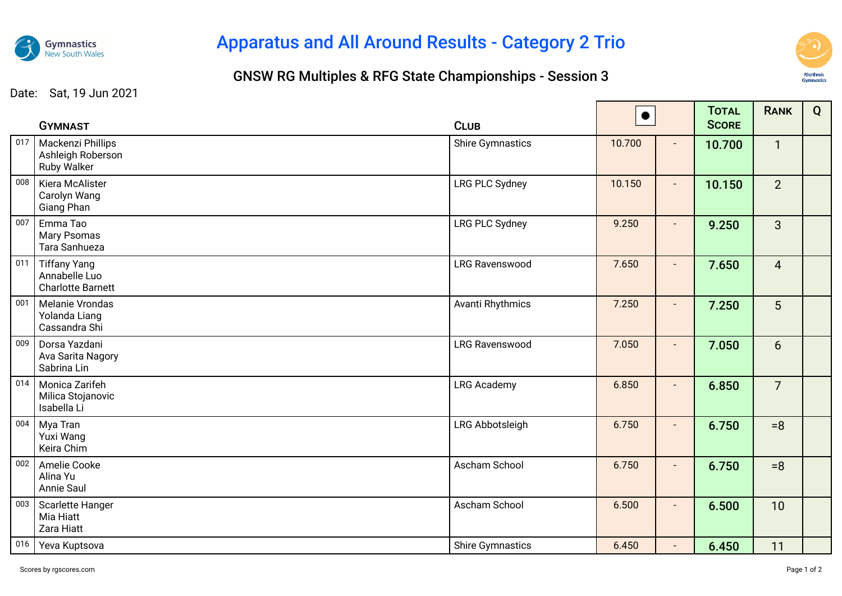

## Apparatus and All Around Results - Category 2 Trio

## GNSW RG Multiples & RFG State Championships - Session 3



Date: Sat, 19 Jun 2021

|     | <b>GYMNAST</b>                                                   | <b>CLUB</b>             | $\bullet$ |                | <b>TOTAL</b><br><b>SCORE</b> | <b>RANK</b>    | Q |
|-----|------------------------------------------------------------------|-------------------------|-----------|----------------|------------------------------|----------------|---|
| 017 | Mackenzi Phillips<br>Ashleigh Roberson<br><b>Ruby Walker</b>     | <b>Shire Gymnastics</b> | 10.700    | $\blacksquare$ | 10.700                       | $\mathbf{1}$   |   |
| 008 | Kiera McAlister<br>Carolyn Wang<br>Giang Phan                    | <b>LRG PLC Sydney</b>   | 10.150    |                | 10.150                       | $\overline{2}$ |   |
| 007 | Emma Tao<br>Mary Psomas<br>Tara Sanhueza                         | <b>LRG PLC Sydney</b>   | 9.250     | $\blacksquare$ | 9.250                        | $\overline{3}$ |   |
| 011 | <b>Tiffany Yang</b><br>Annabelle Luo<br><b>Charlotte Barnett</b> | <b>LRG Ravenswood</b>   | 7.650     | $\blacksquare$ | 7.650                        | $\overline{4}$ |   |
| 001 | Melanie Vrondas<br>Yolanda Liang<br>Cassandra Shi                | Avanti Rhythmics        | 7.250     |                | 7.250                        | 5              |   |
| 009 | Dorsa Yazdani<br>Ava Sarita Nagory<br>Sabrina Lin                | <b>LRG Ravenswood</b>   | 7.050     | $\blacksquare$ | 7.050                        | 6 <sup>1</sup> |   |
| 014 | Monica Zarifeh<br>Milica Stojanovic<br>Isabella Li               | <b>LRG Academy</b>      | 6.850     | $\sim$         | 6.850                        | $\overline{7}$ |   |
| 004 | Mya Tran<br>Yuxi Wang<br>Keira Chim                              | LRG Abbotsleigh         | 6.750     | $\blacksquare$ | 6.750                        | $= 8$          |   |
| 002 | Amelie Cooke<br>Alina Yu<br>Annie Saul                           | Ascham School           | 6.750     |                | 6.750                        | $= 8$          |   |
| 003 | Scarlette Hanger<br>Mia Hiatt<br>Zara Hiatt                      | Ascham School           | 6.500     | $\blacksquare$ | 6.500                        | 10             |   |
| 016 | Yeva Kuptsova                                                    | <b>Shire Gymnastics</b> | 6.450     | $\blacksquare$ | 6.450                        | 11             |   |